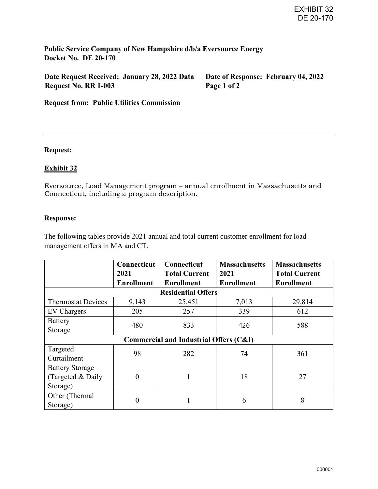**Public Service Company of New Hampshire d/b/a Eversource Energy Docket No. DE 20-170** 

**Date Request Received: January 28, 2022 Data Request No. RR 1-003** 

**Date of Response: February 04, 2022 Page 1 of 2** 

**Request from: Public Utilities Commission**

## **Request:**

# **Exhibit 32**

Eversource, Load Management program – annual enrollment in Massachusetts and Connecticut, including a program description.

## **Response:**

The following tables provide 2021 annual and total current customer enrollment for load management offers in MA and CT.

|                                        | <b>Connecticut</b> | <b>Connecticut</b>   | <b>Massachusetts</b> | <b>Massachusetts</b> |
|----------------------------------------|--------------------|----------------------|----------------------|----------------------|
|                                        | 2021               | <b>Total Current</b> | 2021                 | <b>Total Current</b> |
|                                        | <b>Enrollment</b>  | <b>Enrollment</b>    | <b>Enrollment</b>    | <b>Enrollment</b>    |
| <b>Residential Offers</b>              |                    |                      |                      |                      |
| <b>Thermostat Devices</b>              | 9,143              | 25,451               | 7,013                | 29,814               |
| EV Chargers                            | 205                | 257                  | 339                  | 612                  |
| <b>Battery</b>                         | 480                | 833                  | 426                  | 588                  |
| Storage                                |                    |                      |                      |                      |
| Commercial and Industrial Offers (C&I) |                    |                      |                      |                      |
| Targeted                               | 98                 | 282                  | 74                   | 361                  |
| Curtailment                            |                    |                      |                      |                      |
| <b>Battery Storage</b>                 |                    |                      |                      |                      |
| (Targeted & Daily                      | 0                  | 1                    | 18                   | 27                   |
| Storage)                               |                    |                      |                      |                      |
| Other (Thermal                         | 0                  |                      | 6                    | 8                    |
| Storage)                               |                    |                      |                      |                      |